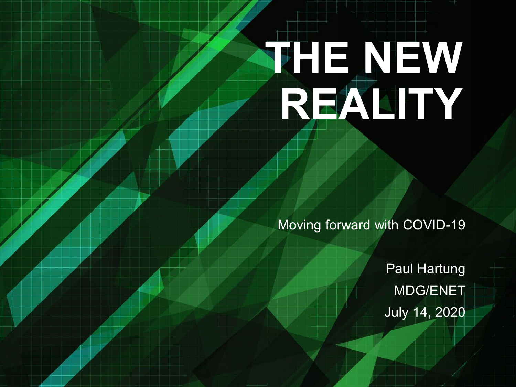# **THE NEW REALITY**

Moving forward with COVID-19

Paul Hartung MDG/ENET July 14, 2020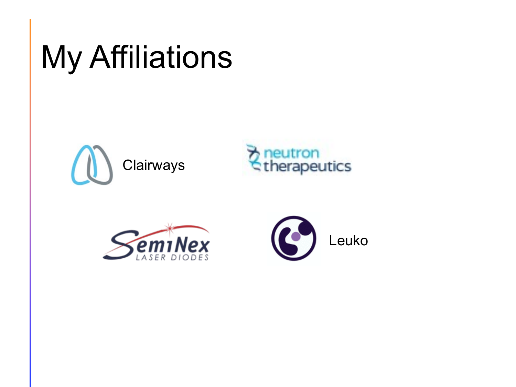## **My Affiliations**







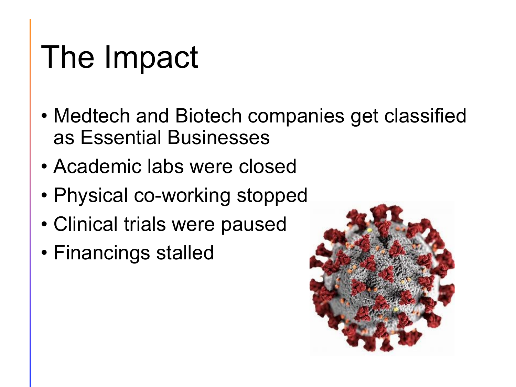### The Impact

- Medtech and Biotech companies get classified as Essential Businesses
- Academic labs were closed
- Physical co-working stopped
- Clinical trials were paused
- Financings stalled

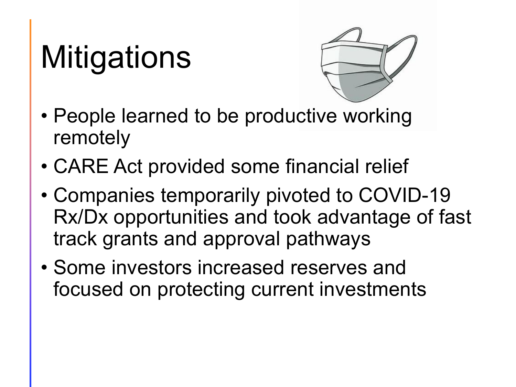# **Mitigations**



- People learned to be productive working remotely
- CARE Act provided some financial relief
- Companies temporarily pivoted to COVID-19 Rx/Dx opportunities and took advantage of fast track grants and approval pathways
- Some investors increased reserves and focused on protecting current investments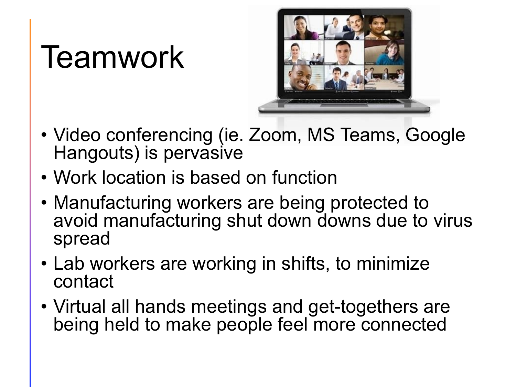#### Teamwork



- Video conferencing (ie. Zoom, MS Teams, Google Hangouts) is pervasive
- Work location is based on function
- Manufacturing workers are being protected to avoid manufacturing shut down downs due to virus spread
- Lab workers are working in shifts, to minimize contact
- Virtual all hands meetings and get-togethers are being held to make people feel more connected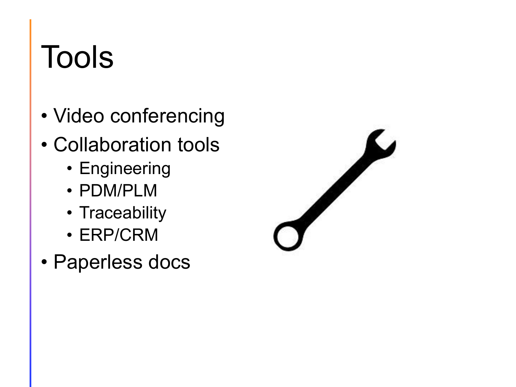## Tools

- Video conferencing
- Collaboration tools
	- Engineering
	- PDM/PLM
	- Traceability
	- ERP/CRM
- Paperless docs

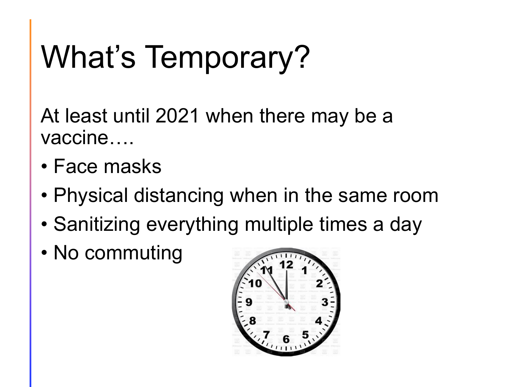# What's Temporary?

At least until 2021 when there may be a vaccine….

- Face masks
- Physical distancing when in the same room
- Sanitizing everything multiple times a day
- No commuting

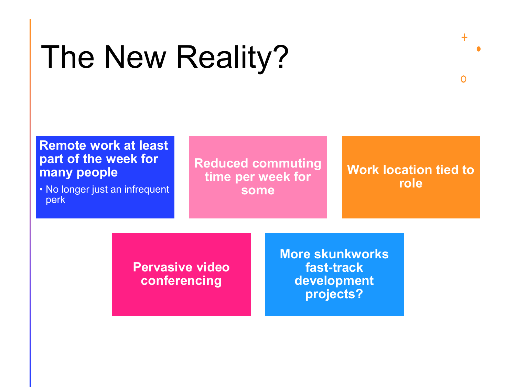### The New Reality?

#### **Remote work at least part of the week for many people**

• No longer just an infrequent perk

**Reduced commuting time per week for some**

#### **Work location tied to role**

 $+$ 

 $\Omega$ 

**Pervasive video conferencing**

**More skunkworks fast-track development projects?**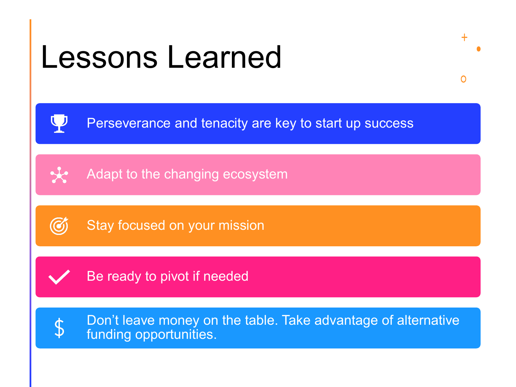#### Lessons Learned

Perseverance and tenacity are key to start up success

 $+$ 

 $\Omega$ 

Adapt to the changing ecosystem



Ų

 $\star$ 

Stay focused on your mission



Be ready to pivot if needed



Don't leave money on the table. Take advantage of alternative funding opportunities.